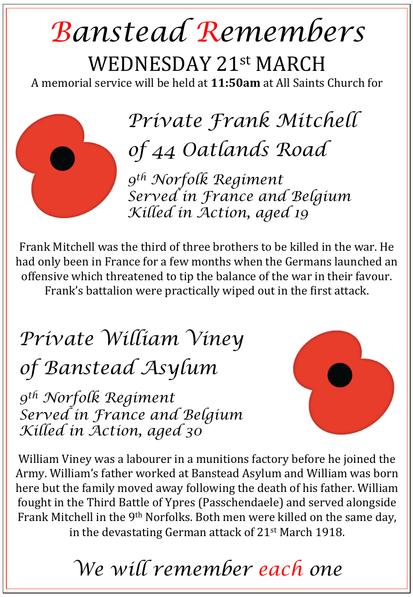## *Banstead Remembers*  WEDNESDAY 21st MARCH

A memorial service will be held at **11:50am** at All Saints Church for

*Private Frank Mitchell of 44 Oatlands Road* 

*9th Norfolk Regiment Served in France and Belgium Killed in Action, aged 19* 

Frank Mitchell was the third of three brothers to be killed in the war. He had only been in France for a few months when the Germans launched an offensive which threatened to tip the balance of the war in their favour. Frank's battalion were practically wiped out in the first attack.

## *Private William Viney of Banstead Asylum*

*9th Norfolk Regiment Served in France and Belgium Killed in Action, aged 30* 



William Viney was a labourer in a munitions factory before he joined the Army. William's father worked at Banstead Asylum and William was born here but the family moved away following the death of his father. William fought in the Third Battle of Ypres (Passchendaele) and served alongside Frank Mitchell in the 9<sup>th</sup> Norfolks. Both men were killed on the same day, in the devastating German attack of  $21<sup>st</sup>$  March 1918.

*We will remember each one*